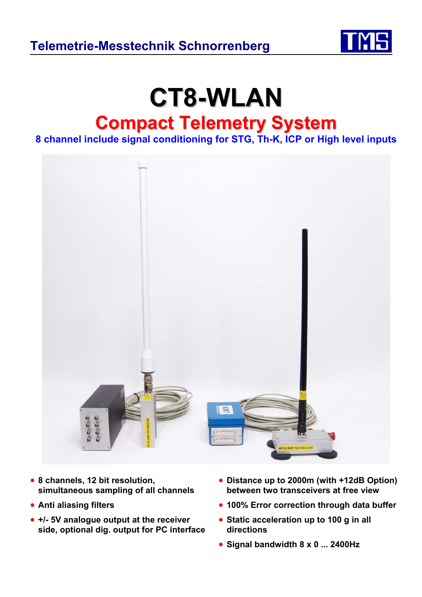

# **CT8-WLAN Compact Telemetry System**

**8 channel include signal conditioning for STG, Th-K, ICP or High level inputs** 



- **8 channels, 12 bit resolution, simultaneous sampling of all channels**
- **Anti aliasing filters**
- **+/- 5V analogue output at the receiver side, optional dig. output for PC interface**
- **Distance up to 2000m (with +12dB Option) between two transceivers at free view**
- **100% Error correction through data buffer**
- **Static acceleration up to 100 g in all directions**
- **Signal bandwidth 8 x 0 ... 2400Hz**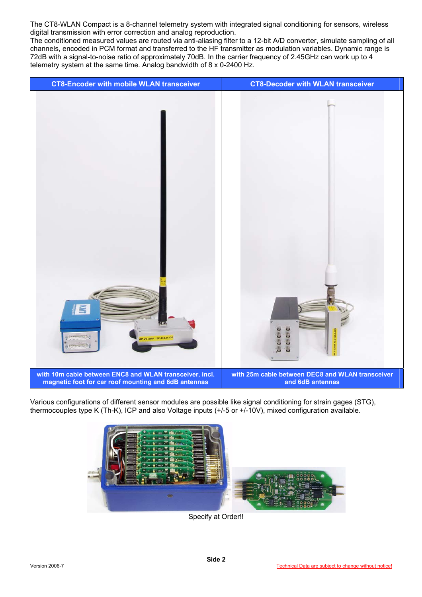The CT8-WLAN Compact is a 8-channel telemetry system with integrated signal conditioning for sensors, wireless digital transmission with error correction and analog reproduction.

The conditioned measured values are routed via anti-aliasing filter to a 12-bit A/D converter, simulate sampling of all channels, encoded in PCM format and transferred to the HF transmitter as modulation variables. Dynamic range is 72dB with a signal-to-noise ratio of approximately 70dB. In the carrier frequency of 2.45GHz can work up to 4 telemetry system at the same time. Analog bandwidth of 8 x 0-2400 Hz.



Various configurations of different sensor modules are possible like signal conditioning for strain gages (STG), thermocouples type K (Th-K), ICP and also Voltage inputs (+/-5 or +/-10V), mixed configuration available.



Specify at Order!!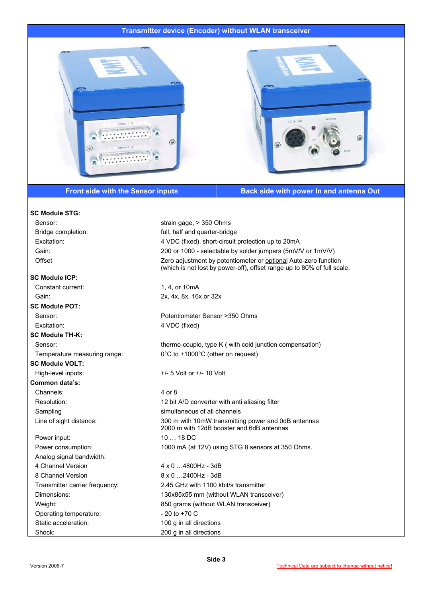### **Transmitter device (Encoder) without WLAN transceiver**





**Front side with the Sensor inputs Back side with power In and antenna Out**  Back side with power In and antenna Out

| <b>SC Module STG:</b>          |                                                                                                                                            |
|--------------------------------|--------------------------------------------------------------------------------------------------------------------------------------------|
| Sensor:                        | strain gage, > 350 Ohms                                                                                                                    |
| Bridge completion:             | full, half and quarter-bridge                                                                                                              |
| Excitation:                    | 4 VDC (fixed), short-circuit protection up to 20mA                                                                                         |
| Gain:                          | 200 or 1000 - selectable by solder jumpers (5mV/V or 1mV/V)                                                                                |
| Offset                         | Zero adjustment by potentiometer or optional Auto-zero function<br>(which is not lost by power-off), offset range up to 80% of full scale. |
| <b>SC Module ICP:</b>          |                                                                                                                                            |
| Constant current:              | 1, 4, or 10mA                                                                                                                              |
| Gain:                          | 2x, 4x, 8x, 16x or 32x                                                                                                                     |
| <b>SC Module POT:</b>          |                                                                                                                                            |
| Sensor:                        | Potentiometer Sensor >350 Ohms                                                                                                             |
| Excitation:                    | 4 VDC (fixed)                                                                                                                              |
| <b>SC Module TH-K:</b>         |                                                                                                                                            |
| Sensor:                        | thermo-couple, type K (with cold junction compensation)                                                                                    |
| Temperature measuring range:   | 0°C to +1000°C (other on request)                                                                                                          |
| <b>SC Module VOLT:</b>         |                                                                                                                                            |
| High-level inputs:             | $+/-$ 5 Volt or $+/-$ 10 Volt                                                                                                              |
| Common data's:                 |                                                                                                                                            |
| Channels:                      | 4 or 8                                                                                                                                     |
| Resolution:                    | 12 bit A/D converter with anti aliasing filter                                                                                             |
| Sampling                       | simultaneous of all channels                                                                                                               |
| Line of sight distance:        | 300 m with 10mW transmitting power and 0dB antennas<br>2000 m with 12dB booster and 6dB antennas                                           |
| Power input:                   | 10  18 DC                                                                                                                                  |
| Power consumption:             | 1000 mA (at 12V) using STG 8 sensors at 350 Ohms.                                                                                          |
| Analog signal bandwidth:       |                                                                                                                                            |
| 4 Channel Version              | 4 x 0 4800Hz - 3dB                                                                                                                         |
| 8 Channel Version              | 8 x 0 2400Hz - 3dB                                                                                                                         |
| Transmitter carrier frequency: | 2.45 GHz with 1100 kbit/s transmitter                                                                                                      |
| Dimensions:                    | 130x85x55 mm (without WLAN transceiver)                                                                                                    |
| Weight:                        | 850 grams (without WLAN transceiver)                                                                                                       |
| Operating temperature:         | $-20$ to $+70$ C                                                                                                                           |
| Static acceleration:           | 100 g in all directions                                                                                                                    |
| Shock:                         | 200 g in all directions                                                                                                                    |